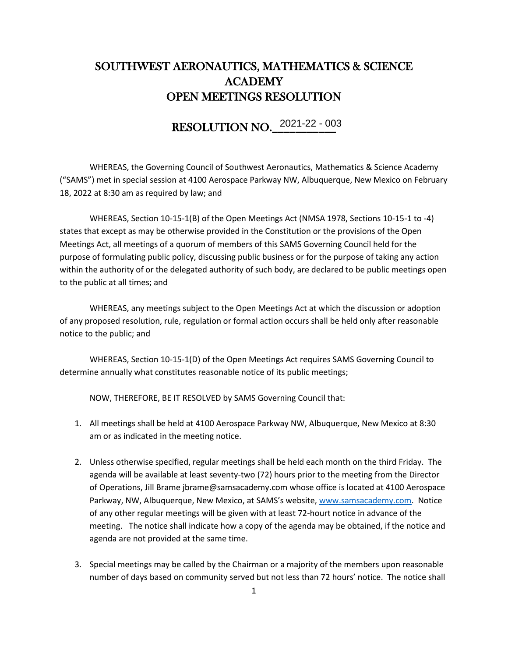## SOUTHWEST AERONAUTICS, MATHEMATICS & SCIENCE ACADEMY OPEN MEETINGS RESOLUTION

## RESOLUTION NO.\_\_\_\_\_\_\_\_\_\_\_ 2021-22 - 003

WHEREAS, the Governing Council of Southwest Aeronautics, Mathematics & Science Academy ("SAMS") met in special session at 4100 Aerospace Parkway NW, Albuquerque, New Mexico on February 18, 2022 at 8:30 am as required by law; and

WHEREAS, Section 10-15-1(B) of the Open Meetings Act (NMSA 1978, Sections 10-15-1 to -4) states that except as may be otherwise provided in the Constitution or the provisions of the Open Meetings Act, all meetings of a quorum of members of this SAMS Governing Council held for the purpose of formulating public policy, discussing public business or for the purpose of taking any action within the authority of or the delegated authority of such body, are declared to be public meetings open to the public at all times; and

WHEREAS, any meetings subject to the Open Meetings Act at which the discussion or adoption of any proposed resolution, rule, regulation or formal action occurs shall be held only after reasonable notice to the public; and

WHEREAS, Section 10-15-1(D) of the Open Meetings Act requires SAMS Governing Council to determine annually what constitutes reasonable notice of its public meetings;

NOW, THEREFORE, BE IT RESOLVED by SAMS Governing Council that:

- 1. All meetings shall be held at 4100 Aerospace Parkway NW, Albuquerque, New Mexico at 8:30 am or as indicated in the meeting notice.
- 2. Unless otherwise specified, regular meetings shall be held each month on the third Friday. The agenda will be available at least seventy-two (72) hours prior to the meeting from the Director of Operations, Jill Brame jbrame@samsacademy.com whose office is located at 4100 Aerospace Parkway, NW, Albuquerque, New Mexico, at SAMS's website, [www.samsacademy.com.](http://www.samsacademy.com/) Notice of any other regular meetings will be given with at least 72-hourt notice in advance of the meeting. The notice shall indicate how a copy of the agenda may be obtained, if the notice and agenda are not provided at the same time.
- 3. Special meetings may be called by the Chairman or a majority of the members upon reasonable number of days based on community served but not less than 72 hours' notice. The notice shall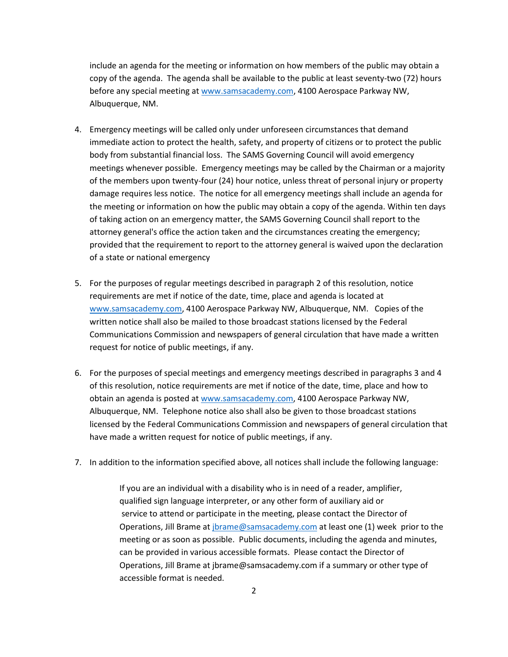include an agenda for the meeting or information on how members of the public may obtain a copy of the agenda. The agenda shall be available to the public at least seventy-two (72) hours before any special meeting a[t www.samsacademy.com,](http://www.samsacademy.com/) 4100 Aerospace Parkway NW, Albuquerque, NM.

- 4. Emergency meetings will be called only under unforeseen circumstances that demand immediate action to protect the health, safety, and property of citizens or to protect the public body from substantial financial loss. The SAMS Governing Council will avoid emergency meetings whenever possible. Emergency meetings may be called by the Chairman or a majority of the members upon twenty-four (24) hour notice, unless threat of personal injury or property damage requires less notice. The notice for all emergency meetings shall include an agenda for the meeting or information on how the public may obtain a copy of the agenda. Within ten days of taking action on an emergency matter, the SAMS Governing Council shall report to the attorney general's office the action taken and the circumstances creating the emergency; provided that the requirement to report to the attorney general is waived upon the declaration of a state or national emergency
- 5. For the purposes of regular meetings described in paragraph 2 of this resolution, notice requirements are met if notice of the date, time, place and agenda is located at [www.samsacademy.com,](http://www.samsacademy.com/) 4100 Aerospace Parkway NW, Albuquerque, NM. Copies of the written notice shall also be mailed to those broadcast stations licensed by the Federal Communications Commission and newspapers of general circulation that have made a written request for notice of public meetings, if any.
- 6. For the purposes of special meetings and emergency meetings described in paragraphs 3 and 4 of this resolution, notice requirements are met if notice of the date, time, place and how to obtain an agenda is posted at [www.samsacademy.com,](http://www.samsacademy.com/) 4100 Aerospace Parkway NW, Albuquerque, NM. Telephone notice also shall also be given to those broadcast stations licensed by the Federal Communications Commission and newspapers of general circulation that have made a written request for notice of public meetings, if any.
- 7. In addition to the information specified above, all notices shall include the following language:

If you are an individual with a disability who is in need of a reader, amplifier, qualified sign language interpreter, or any other form of auxiliary aid or service to attend or participate in the meeting, please contact the Director of Operations, Jill Brame at [jbrame@samsacademy.com](mailto:jbrame@samsacademy.com) at least one (1) week prior to the meeting or as soon as possible. Public documents, including the agenda and minutes, can be provided in various accessible formats. Please contact the Director of Operations, Jill Brame at jbrame@samsacademy.com if a summary or other type of accessible format is needed.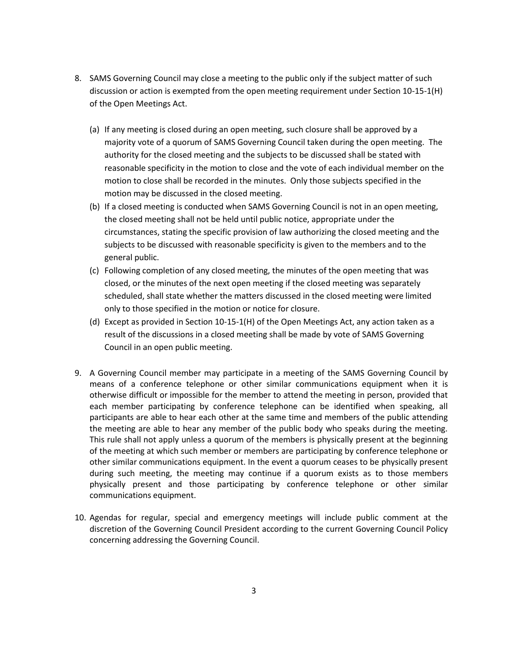- 8. SAMS Governing Council may close a meeting to the public only if the subject matter of such discussion or action is exempted from the open meeting requirement under Section 10-15-1(H) of the Open Meetings Act.
	- (a) If any meeting is closed during an open meeting, such closure shall be approved by a majority vote of a quorum of SAMS Governing Council taken during the open meeting. The authority for the closed meeting and the subjects to be discussed shall be stated with reasonable specificity in the motion to close and the vote of each individual member on the motion to close shall be recorded in the minutes. Only those subjects specified in the motion may be discussed in the closed meeting.
	- (b) If a closed meeting is conducted when SAMS Governing Council is not in an open meeting, the closed meeting shall not be held until public notice, appropriate under the circumstances, stating the specific provision of law authorizing the closed meeting and the subjects to be discussed with reasonable specificity is given to the members and to the general public.
	- (c) Following completion of any closed meeting, the minutes of the open meeting that was closed, or the minutes of the next open meeting if the closed meeting was separately scheduled, shall state whether the matters discussed in the closed meeting were limited only to those specified in the motion or notice for closure.
	- (d) Except as provided in Section 10-15-1(H) of the Open Meetings Act, any action taken as a result of the discussions in a closed meeting shall be made by vote of SAMS Governing Council in an open public meeting.
- 9. A Governing Council member may participate in a meeting of the SAMS Governing Council by means of a conference telephone or other similar communications equipment when it is otherwise difficult or impossible for the member to attend the meeting in person, provided that each member participating by conference telephone can be identified when speaking, all participants are able to hear each other at the same time and members of the public attending the meeting are able to hear any member of the public body who speaks during the meeting. This rule shall not apply unless a quorum of the members is physically present at the beginning of the meeting at which such member or members are participating by conference telephone or other similar communications equipment. In the event a quorum ceases to be physically present during such meeting, the meeting may continue if a quorum exists as to those members physically present and those participating by conference telephone or other similar communications equipment.
- 10. Agendas for regular, special and emergency meetings will include public comment at the discretion of the Governing Council President according to the current Governing Council Policy concerning addressing the Governing Council.